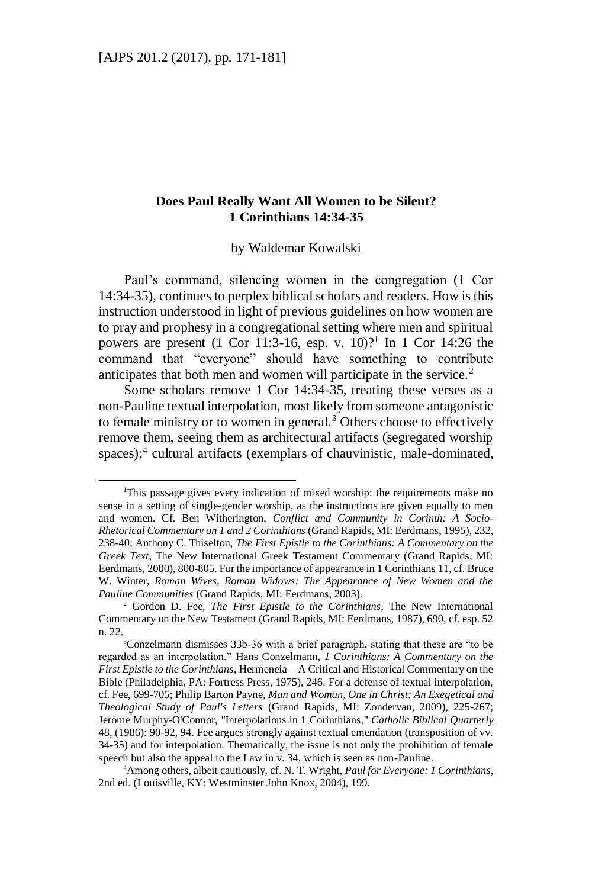$\overline{a}$ 

## **Does Paul Really Want All Women to be Silent? 1 Corinthians 14:34-35**

by Waldemar Kowalski

Paul's command, silencing women in the congregation (1 Cor 14:34-35), continues to perplex biblical scholars and readers. How is this instruction understood in light of previous guidelines on how women are to pray and prophesy in a congregational setting where men and spiritual powers are present  $(1 \text{ Cor } 11:3-16, \text{ esp. v. } 10)?^{1}$  In 1 Cor 14:26 the command that "everyone" should have something to contribute anticipates that both men and women will participate in the service.<sup>2</sup>

Some scholars remove 1 Cor 14:34-35, treating these verses as a non-Pauline textual interpolation, most likely from someone antagonistic to female ministry or to women in general.<sup>3</sup> Others choose to effectively remove them, seeing them as architectural artifacts (segregated worship spaces);<sup>4</sup> cultural artifacts (exemplars of chauvinistic, male-dominated,

<sup>&</sup>lt;sup>1</sup>This passage gives every indication of mixed worship: the requirements make no sense in a setting of single-gender worship, as the instructions are given equally to men and women. Cf. Ben Witherington, *Conflict and Community in Corinth: A Socio-Rhetorical Commentary on 1 and 2 Corinthians* (Grand Rapids, MI: Eerdmans, 1995), 232, 238-40; Anthony C. Thiselton, *The First Epistle to the Corinthians: A Commentary on the Greek Text*, The New International Greek Testament Commentary (Grand Rapids, MI: Eerdmans, 2000), 800-805. For the importance of appearance in 1 Corinthians 11, cf. Bruce W. Winter, *Roman Wives, Roman Widows: The Appearance of New Women and the Pauline Communities* (Grand Rapids, MI: Eerdmans, 2003).

<sup>2</sup> Gordon D. Fee, *The First Epistle to the Corinthians*, The New International Commentary on the New Testament (Grand Rapids, MI: Eerdmans, 1987), 690, cf. esp. 52 n. 22.

 $3$ Conzelmann dismisses 33b-36 with a brief paragraph, stating that these are "to be regarded as an interpolation." Hans Conzelmann, *1 Corinthians: A Commentary on the First Epistle to the Corinthians*, Hermeneia—A Critical and Historical Commentary on the Bible (Philadelphia, PA: Fortress Press, 1975), 246. For a defense of textual interpolation, cf. Fee, 699-705; Philip Barton Payne, *Man and Woman, One in Christ: An Exegetical and Theological Study of Paul's Letters* (Grand Rapids, MI: Zondervan, 2009), 225-267; Jerome Murphy-O'Connor, "Interpolations in 1 Corinthians," *Catholic Biblical Quarterly* 48, (1986): 90-92, 94. Fee argues strongly against textual emendation (transposition of vv. 34-35) and for interpolation. Thematically, the issue is not only the prohibition of female speech but also the appeal to the Law in v. 34, which is seen as non-Pauline.

<sup>4</sup>Among others, albeit cautiously, cf. N. T. Wright, *Paul for Everyone: 1 Corinthians*, 2nd ed. (Louisville, KY: Westminster John Knox, 2004), 199.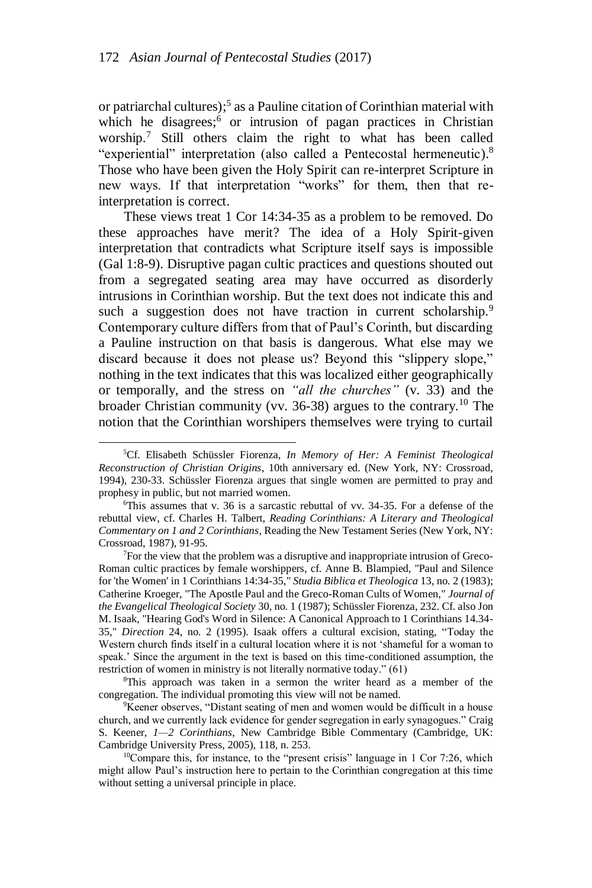or patriarchal cultures);<sup>5</sup> as a Pauline citation of Corinthian material with which he disagrees;<sup>6</sup> or intrusion of pagan practices in Christian worship.<sup>7</sup> Still others claim the right to what has been called "experiential" interpretation (also called a Pentecostal hermeneutic).<sup>8</sup> Those who have been given the Holy Spirit can re-interpret Scripture in new ways. If that interpretation "works" for them, then that reinterpretation is correct.

These views treat 1 Cor 14:34-35 as a problem to be removed. Do these approaches have merit? The idea of a Holy Spirit-given interpretation that contradicts what Scripture itself says is impossible (Gal 1:8-9). Disruptive pagan cultic practices and questions shouted out from a segregated seating area may have occurred as disorderly intrusions in Corinthian worship. But the text does not indicate this and such a suggestion does not have traction in current scholarship.<sup>9</sup> Contemporary culture differs from that of Paul's Corinth, but discarding a Pauline instruction on that basis is dangerous. What else may we discard because it does not please us? Beyond this "slippery slope," nothing in the text indicates that this was localized either geographically or temporally, and the stress on *"all the churches"* (v. 33) and the broader Christian community (vv. 36-38) argues to the contrary.<sup>10</sup> The notion that the Corinthian worshipers themselves were trying to curtail

<sup>5</sup>Cf. Elisabeth Schüssler Fiorenza, *In Memory of Her: A Feminist Theological Reconstruction of Christian Origins*, 10th anniversary ed. (New York, NY: Crossroad, 1994), 230-33. Schüssler Fiorenza argues that single women are permitted to pray and prophesy in public, but not married women.

<sup>6</sup>This assumes that v. 36 is a sarcastic rebuttal of vv. 34-35. For a defense of the rebuttal view, cf. Charles H. Talbert, *Reading Corinthians: A Literary and Theological Commentary on 1 and 2 Corinthians*, Reading the New Testament Series (New York, NY: Crossroad, 1987), 91-95.

<sup>7</sup>For the view that the problem was a disruptive and inappropriate intrusion of Greco-Roman cultic practices by female worshippers, cf. Anne B. Blampied, "Paul and Silence for 'the Women' in 1 Corinthians 14:34-35," *Studia Biblica et Theologica* 13, no. 2 (1983); Catherine Kroeger, "The Apostle Paul and the Greco-Roman Cults of Women," *Journal of the Evangelical Theological Society* 30, no. 1 (1987); Schüssler Fiorenza, 232. Cf. also Jon M. Isaak, "Hearing God's Word in Silence: A Canonical Approach to 1 Corinthians 14.34- 35," *Direction* 24, no. 2 (1995). Isaak offers a cultural excision, stating, "Today the Western church finds itself in a cultural location where it is not 'shameful for a woman to speak.' Since the argument in the text is based on this time-conditioned assumption, the restriction of women in ministry is not literally normative today." (61)

<sup>8</sup>This approach was taken in a sermon the writer heard as a member of the congregation. The individual promoting this view will not be named.

<sup>9</sup>Keener observes, "Distant seating of men and women would be difficult in a house church, and we currently lack evidence for gender segregation in early synagogues." Craig S. Keener, *1—2 Corinthians*, New Cambridge Bible Commentary (Cambridge, UK: Cambridge University Press, 2005), 118, n. 253.

<sup>&</sup>lt;sup>10</sup>Compare this, for instance, to the "present crisis" language in 1 Cor 7:26, which might allow Paul's instruction here to pertain to the Corinthian congregation at this time without setting a universal principle in place.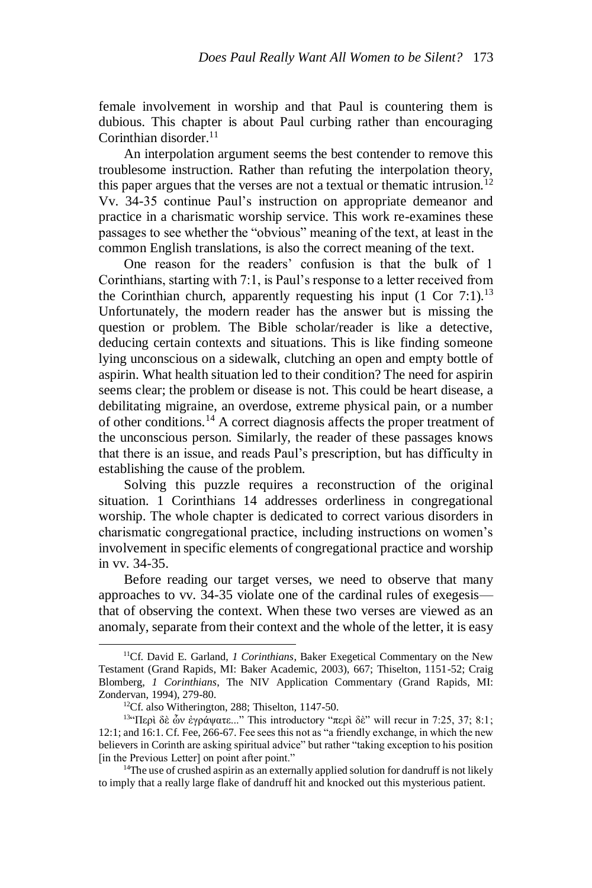female involvement in worship and that Paul is countering them is dubious. This chapter is about Paul curbing rather than encouraging Corinthian disorder.<sup>11</sup>

An interpolation argument seems the best contender to remove this troublesome instruction. Rather than refuting the interpolation theory, this paper argues that the verses are not a textual or thematic intrusion.<sup>12</sup> Vv. 34-35 continue Paul's instruction on appropriate demeanor and practice in a charismatic worship service. This work re-examines these passages to see whether the "obvious" meaning of the text, at least in the common English translations, is also the correct meaning of the text.

One reason for the readers' confusion is that the bulk of 1 Corinthians, starting with 7:1, is Paul's response to a letter received from the Corinthian church, apparently requesting his input (1 Cor 7:1).<sup>13</sup> Unfortunately, the modern reader has the answer but is missing the question or problem. The Bible scholar/reader is like a detective, deducing certain contexts and situations. This is like finding someone lying unconscious on a sidewalk, clutching an open and empty bottle of aspirin. What health situation led to their condition? The need for aspirin seems clear; the problem or disease is not. This could be heart disease, a debilitating migraine, an overdose, extreme physical pain, or a number of other conditions.<sup>14</sup> A correct diagnosis affects the proper treatment of the unconscious person. Similarly, the reader of these passages knows that there is an issue, and reads Paul's prescription, but has difficulty in establishing the cause of the problem.

Solving this puzzle requires a reconstruction of the original situation. 1 Corinthians 14 addresses orderliness in congregational worship. The whole chapter is dedicated to correct various disorders in charismatic congregational practice, including instructions on women's involvement in specific elements of congregational practice and worship in vv. 34-35.

Before reading our target verses, we need to observe that many approaches to vv. 34-35 violate one of the cardinal rules of exegesis that of observing the context. When these two verses are viewed as an anomaly, separate from their context and the whole of the letter, it is easy

<sup>11</sup>Cf. David E. Garland, *1 Corinthians*, Baker Exegetical Commentary on the New Testament (Grand Rapids, MI: Baker Academic, 2003), 667; Thiselton, 1151-52; Craig Blomberg, *1 Corinthians*, The NIV Application Commentary (Grand Rapids, MI: Zondervan, 1994), 279-80.

<sup>&</sup>lt;sup>12</sup>Cf. also Witherington, 288; Thiselton, 1147-50.

<sup>13</sup>"Περὶ δὲ ὧν ἐγράψατε..." This introductory "περὶ δὲ" will recur in 7:25, 37; 8:1; 12:1; and 16:1. Cf. Fee, 266-67. Fee sees this not as "a friendly exchange, in which the new believers in Corinth are asking spiritual advice" but rather "taking exception to his position [in the Previous Letter] on point after point."

<sup>&</sup>lt;sup>14</sup>The use of crushed aspirin as an externally applied solution for dandruff is not likely to imply that a really large flake of dandruff hit and knocked out this mysterious patient.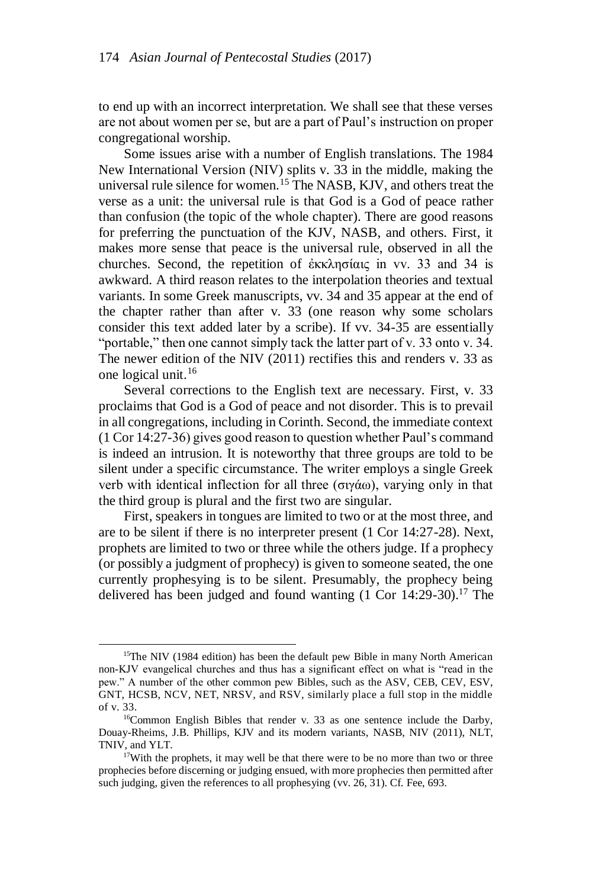to end up with an incorrect interpretation. We shall see that these verses are not about women per se, but are a part of Paul's instruction on proper congregational worship.

Some issues arise with a number of English translations. The 1984 New International Version (NIV) splits v. 33 in the middle, making the universal rule silence for women.<sup>15</sup> The NASB, KJV, and others treat the verse as a unit: the universal rule is that God is a God of peace rather than confusion (the topic of the whole chapter). There are good reasons for preferring the punctuation of the KJV, NASB, and others. First, it makes more sense that peace is the universal rule, observed in all the churches. Second, the repetition of ἐκκλησίαις in vv. 33 and 34 is awkward. A third reason relates to the interpolation theories and textual variants. In some Greek manuscripts, vv. 34 and 35 appear at the end of the chapter rather than after v. 33 (one reason why some scholars consider this text added later by a scribe). If vv. 34-35 are essentially "portable," then one cannot simply tack the latter part of v. 33 onto v. 34. The newer edition of the NIV (2011) rectifies this and renders v. 33 as one logical unit.<sup>16</sup>

Several corrections to the English text are necessary. First, v. 33 proclaims that God is a God of peace and not disorder. This is to prevail in all congregations, including in Corinth. Second, the immediate context (1 Cor 14:27-36) gives good reason to question whether Paul's command is indeed an intrusion. It is noteworthy that three groups are told to be silent under a specific circumstance. The writer employs a single Greek verb with identical inflection for all three (σιγάω), varying only in that the third group is plural and the first two are singular.

First, speakers in tongues are limited to two or at the most three, and are to be silent if there is no interpreter present (1 Cor 14:27-28). Next, prophets are limited to two or three while the others judge. If a prophecy (or possibly a judgment of prophecy) is given to someone seated, the one currently prophesying is to be silent. Presumably, the prophecy being delivered has been judged and found wanting  $(1 \text{ Cor } 14:29-30).$ <sup>17</sup> The

<sup>&</sup>lt;sup>15</sup>The NIV (1984 edition) has been the default pew Bible in many North American non-KJV evangelical churches and thus has a significant effect on what is "read in the pew." A number of the other common pew Bibles, such as the ASV, CEB, CEV, ESV, GNT, HCSB, NCV, NET, NRSV, and RSV, similarly place a full stop in the middle of v. 33.

<sup>16</sup>Common English Bibles that render v. 33 as one sentence include the Darby, Douay-Rheims, J.B. Phillips, KJV and its modern variants, NASB, NIV (2011), NLT, TNIV, and YLT.

<sup>&</sup>lt;sup>17</sup>With the prophets, it may well be that there were to be no more than two or three prophecies before discerning or judging ensued, with more prophecies then permitted after such judging, given the references to all prophesying (vv. 26, 31). Cf. Fee, 693.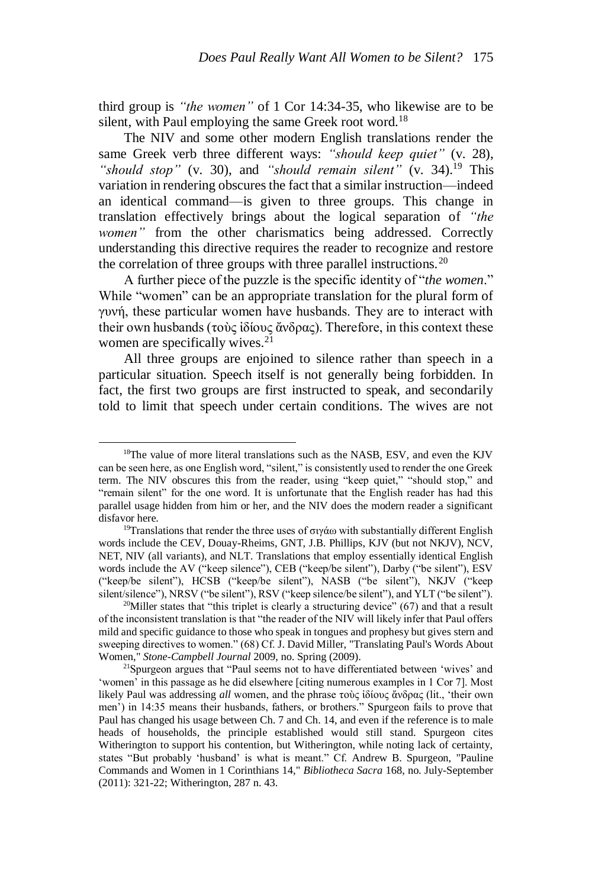third group is *"the women"* of 1 Cor 14:34-35, who likewise are to be silent, with Paul employing the same Greek root word.<sup>18</sup>

The NIV and some other modern English translations render the same Greek verb three different ways: *"should keep quiet"* (v. 28), *"should stop"* (v. 30), and *"should remain silent"* (v. 34).<sup>19</sup> This variation in rendering obscures the fact that a similar instruction—indeed an identical command—is given to three groups. This change in translation effectively brings about the logical separation of *"the women"* from the other charismatics being addressed. Correctly understanding this directive requires the reader to recognize and restore the correlation of three groups with three parallel instructions.<sup>20</sup>

A further piece of the puzzle is the specific identity of "*the women*." While "women" can be an appropriate translation for the plural form of γυνή, these particular women have husbands. They are to interact with their own husbands (τοὺς ἰδίους ἄνδρας). Therefore, in this context these women are specifically wives.<sup>21</sup>

All three groups are enjoined to silence rather than speech in a particular situation. Speech itself is not generally being forbidden. In fact, the first two groups are first instructed to speak, and secondarily told to limit that speech under certain conditions. The wives are not

<sup>&</sup>lt;sup>18</sup>The value of more literal translations such as the NASB, ESV, and even the KJV can be seen here, as one English word, "silent," is consistently used to render the one Greek term. The NIV obscures this from the reader, using "keep quiet," "should stop," and "remain silent" for the one word. It is unfortunate that the English reader has had this parallel usage hidden from him or her, and the NIV does the modern reader a significant disfavor here.

<sup>&</sup>lt;sup>19</sup>Translations that render the three uses of σιγάω with substantially different English words include the CEV, Douay-Rheims, GNT, J.B. Phillips, KJV (but not NKJV), NCV, NET, NIV (all variants), and NLT. Translations that employ essentially identical English words include the AV ("keep silence"), CEB ("keep/be silent"), Darby ("be silent"), ESV ("keep/be silent"), HCSB ("keep/be silent"), NASB ("be silent"), NKJV ("keep silent/silence"), NRSV ("be silent"), RSV ("keep silence/be silent"), and YLT ("be silent").

<sup>&</sup>lt;sup>20</sup>Miller states that "this triplet is clearly a structuring device"  $(67)$  and that a result of the inconsistent translation is that "the reader of the NIV will likely infer that Paul offers mild and specific guidance to those who speak in tongues and prophesy but gives stern and sweeping directives to women." (68) Cf. J. David Miller, "Translating Paul's Words About Women," *Stone-Campbell Journal* 2009, no. Spring (2009).

<sup>&</sup>lt;sup>21</sup>Spurgeon argues that "Paul seems not to have differentiated between 'wives' and 'women' in this passage as he did elsewhere [citing numerous examples in 1 Cor 7]. Most likely Paul was addressing *all* women, and the phrase τοὺς ἰδίους ἄνδρας (lit., 'their own men') in 14:35 means their husbands, fathers, or brothers." Spurgeon fails to prove that Paul has changed his usage between Ch. 7 and Ch. 14, and even if the reference is to male heads of households, the principle established would still stand. Spurgeon cites Witherington to support his contention, but Witherington, while noting lack of certainty, states "But probably 'husband' is what is meant." Cf. Andrew B. Spurgeon, "Pauline Commands and Women in 1 Corinthians 14," *Bibliotheca Sacra* 168, no. July-September (2011): 321-22; Witherington, 287 n. 43.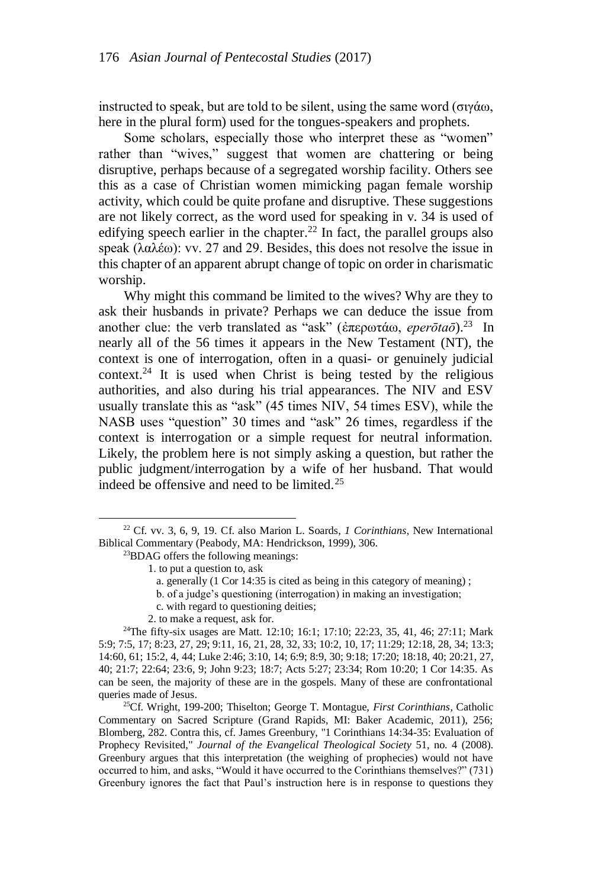instructed to speak, but are told to be silent, using the same word (σιγάω, here in the plural form) used for the tongues-speakers and prophets.

Some scholars, especially those who interpret these as "women" rather than "wives," suggest that women are chattering or being disruptive, perhaps because of a segregated worship facility. Others see this as a case of Christian women mimicking pagan female worship activity, which could be quite profane and disruptive. These suggestions are not likely correct, as the word used for speaking in v. 34 is used of edifying speech earlier in the chapter.<sup>22</sup> In fact, the parallel groups also speak (λαλέω): vv. 27 and 29. Besides, this does not resolve the issue in this chapter of an apparent abrupt change of topic on order in charismatic worship.

Why might this command be limited to the wives? Why are they to ask their husbands in private? Perhaps we can deduce the issue from another clue: the verb translated as "ask" (ἐπερωτάω, *eperōtaō*).<sup>23</sup> In nearly all of the 56 times it appears in the New Testament (NT), the context is one of interrogation, often in a quasi- or genuinely judicial  $context.^{24}$  It is used when Christ is being tested by the religious authorities, and also during his trial appearances. The NIV and ESV usually translate this as "ask" (45 times NIV, 54 times ESV), while the NASB uses "question" 30 times and "ask" 26 times, regardless if the context is interrogation or a simple request for neutral information. Likely, the problem here is not simply asking a question, but rather the public judgment/interrogation by a wife of her husband. That would indeed be offensive and need to be limited.<sup>25</sup>

 $\overline{a}$ 

- b. of a judge's questioning (interrogation) in making an investigation;
- c. with regard to questioning deities;
- 2. to make a request, ask for.

<sup>24</sup>The fifty-six usages are Matt. 12:10; 16:1; 17:10; 22:23, 35, 41, 46; 27:11; Mark 5:9; 7:5, 17; 8:23, 27, 29; 9:11, 16, 21, 28, 32, 33; 10:2, 10, 17; 11:29; 12:18, 28, 34; 13:3; 14:60, 61; 15:2, 4, 44; Luke 2:46; 3:10, 14; 6:9; 8:9, 30; 9:18; 17:20; 18:18, 40; 20:21, 27, 40; 21:7; 22:64; 23:6, 9; John 9:23; 18:7; Acts 5:27; 23:34; Rom 10:20; 1 Cor 14:35. As can be seen, the majority of these are in the gospels. Many of these are confrontational queries made of Jesus.

<sup>25</sup>Cf. Wright, 199-200; Thiselton; George T. Montague, *First Corinthians*, Catholic Commentary on Sacred Scripture (Grand Rapids, MI: Baker Academic, 2011), 256; Blomberg, 282. Contra this, cf. James Greenbury, "1 Corinthians 14:34-35: Evaluation of Prophecy Revisited," *Journal of the Evangelical Theological Society* 51, no. 4 (2008). Greenbury argues that this interpretation (the weighing of prophecies) would not have occurred to him, and asks, "Would it have occurred to the Corinthians themselves?" (731) Greenbury ignores the fact that Paul's instruction here is in response to questions they

<sup>22</sup> Cf. vv. 3, 6, 9, 19. Cf. also Marion L. Soards, *1 Corinthians*, New International Biblical Commentary (Peabody, MA: Hendrickson, 1999), 306.

<sup>&</sup>lt;sup>23</sup>BDAG offers the following meanings:

<sup>1.</sup> to put a question to, ask

a. generally (1 Cor 14:35 is cited as being in this category of meaning) ;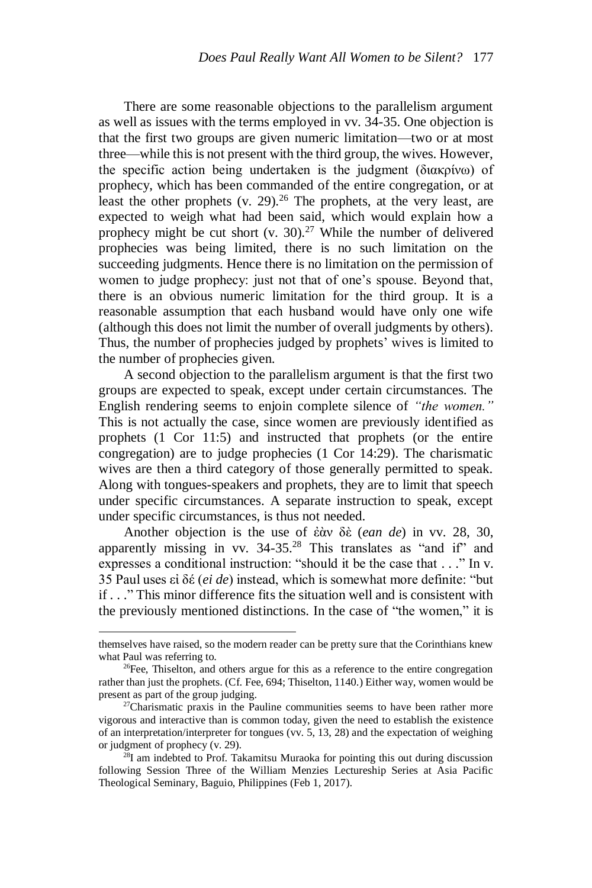There are some reasonable objections to the parallelism argument as well as issues with the terms employed in vv. 34-35. One objection is that the first two groups are given numeric limitation—two or at most three—while this is not present with the third group, the wives. However, the specific action being undertaken is the judgment (διακρίνω) of prophecy, which has been commanded of the entire congregation, or at least the other prophets  $(v. 29)^{26}$  The prophets, at the very least, are expected to weigh what had been said, which would explain how a prophecy might be cut short (v. 30).<sup>27</sup> While the number of delivered prophecies was being limited, there is no such limitation on the succeeding judgments. Hence there is no limitation on the permission of women to judge prophecy: just not that of one's spouse. Beyond that, there is an obvious numeric limitation for the third group. It is a reasonable assumption that each husband would have only one wife (although this does not limit the number of overall judgments by others). Thus, the number of prophecies judged by prophets' wives is limited to the number of prophecies given.

A second objection to the parallelism argument is that the first two groups are expected to speak, except under certain circumstances. The English rendering seems to enjoin complete silence of *"the women."* This is not actually the case, since women are previously identified as prophets (1 Cor 11:5) and instructed that prophets (or the entire congregation) are to judge prophecies (1 Cor 14:29). The charismatic wives are then a third category of those generally permitted to speak. Along with tongues-speakers and prophets, they are to limit that speech under specific circumstances. A separate instruction to speak, except under specific circumstances, is thus not needed.

Another objection is the use of ἐὰν δὲ (*ean de*) in vv. 28, 30, apparently missing in vv.  $34-35.^{28}$  This translates as "and if" and expresses a conditional instruction: "should it be the case that . . ." In v. 35 Paul uses εἰ δέ (*ei de*) instead, which is somewhat more definite: "but if . . ." This minor difference fits the situation well and is consistent with the previously mentioned distinctions. In the case of "the women," it is

themselves have raised, so the modern reader can be pretty sure that the Corinthians knew what Paul was referring to.

 $26$ Fee, Thiselton, and others argue for this as a reference to the entire congregation rather than just the prophets. (Cf. Fee, 694; Thiselton, 1140.) Either way, women would be present as part of the group judging.

 $27$ Charismatic praxis in the Pauline communities seems to have been rather more vigorous and interactive than is common today, given the need to establish the existence of an interpretation/interpreter for tongues (vv. 5, 13, 28) and the expectation of weighing or judgment of prophecy (v. 29).

<sup>&</sup>lt;sup>28</sup>I am indebted to Prof. Takamitsu Muraoka for pointing this out during discussion following Session Three of the William Menzies Lectureship Series at Asia Pacific Theological Seminary, Baguio, Philippines (Feb 1, 2017).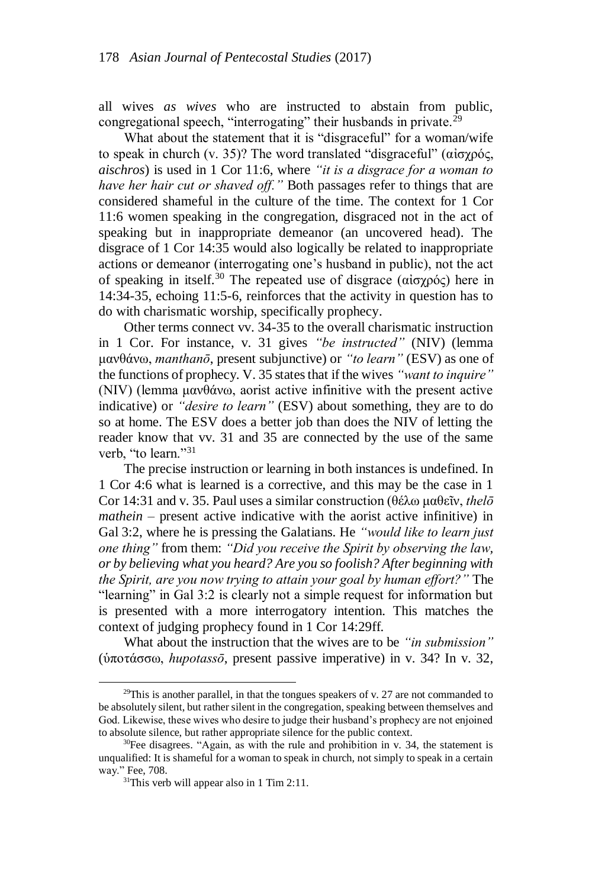all wives *as wives* who are instructed to abstain from public, congregational speech, "interrogating" their husbands in private.<sup>29</sup>

What about the statement that it is "disgraceful" for a woman/wife to speak in church (v. 35)? The word translated "disgraceful" (αἰσχρός, *aischros*) is used in 1 Cor 11:6, where *"it is a disgrace for a woman to have her hair cut or shaved off."* Both passages refer to things that are considered shameful in the culture of the time. The context for 1 Cor 11:6 women speaking in the congregation, disgraced not in the act of speaking but in inappropriate demeanor (an uncovered head). The disgrace of 1 Cor 14:35 would also logically be related to inappropriate actions or demeanor (interrogating one's husband in public), not the act of speaking in itself.<sup>30</sup> The repeated use of disgrace (αισχρός) here in 14:34-35, echoing 11:5-6, reinforces that the activity in question has to do with charismatic worship, specifically prophecy.

Other terms connect vv. 34-35 to the overall charismatic instruction in 1 Cor. For instance, v. 31 gives *"be instructed"* (NIV) (lemma μανθάνω, *manthanō*, present subjunctive) or *"to learn"* (ESV) as one of the functions of prophecy. V. 35 states that if the wives *"want to inquire"* (NIV) (lemma μανθάνω, aorist active infinitive with the present active indicative) or *"desire to learn"* (ESV) about something, they are to do so at home. The ESV does a better job than does the NIV of letting the reader know that vv. 31 and 35 are connected by the use of the same verb. "to learn."<sup>31</sup>

The precise instruction or learning in both instances is undefined. In 1 Cor 4:6 what is learned is a corrective, and this may be the case in 1 Cor 14:31 and v. 35. Paul uses a similar construction (θέλω μαθεῖν, *thelō mathein* – present active indicative with the aorist active infinitive) in Gal 3:2, where he is pressing the Galatians. He *"would like to learn just one thing"* from them: *"Did you receive the Spirit by observing the law, or by believing what you heard? Are you so foolish? After beginning with the Spirit, are you now trying to attain your goal by human effort?"* The "learning" in Gal 3:2 is clearly not a simple request for information but is presented with a more interrogatory intention. This matches the context of judging prophecy found in 1 Cor 14:29ff.

What about the instruction that the wives are to be *"in submission"* (ὑποτάσσω, *hupotassō*, present passive imperative) in v. 34? In v. 32,

<sup>&</sup>lt;sup>29</sup>This is another parallel, in that the tongues speakers of v. 27 are not commanded to be absolutely silent, but rather silent in the congregation, speaking between themselves and God. Likewise, these wives who desire to judge their husband's prophecy are not enjoined to absolute silence, but rather appropriate silence for the public context.

 $30$ Fee disagrees. "Again, as with the rule and prohibition in v. 34, the statement is unqualified: It is shameful for a woman to speak in church, not simply to speak in a certain way." Fee, 708.

 $31$ This verb will appear also in 1 Tim 2:11.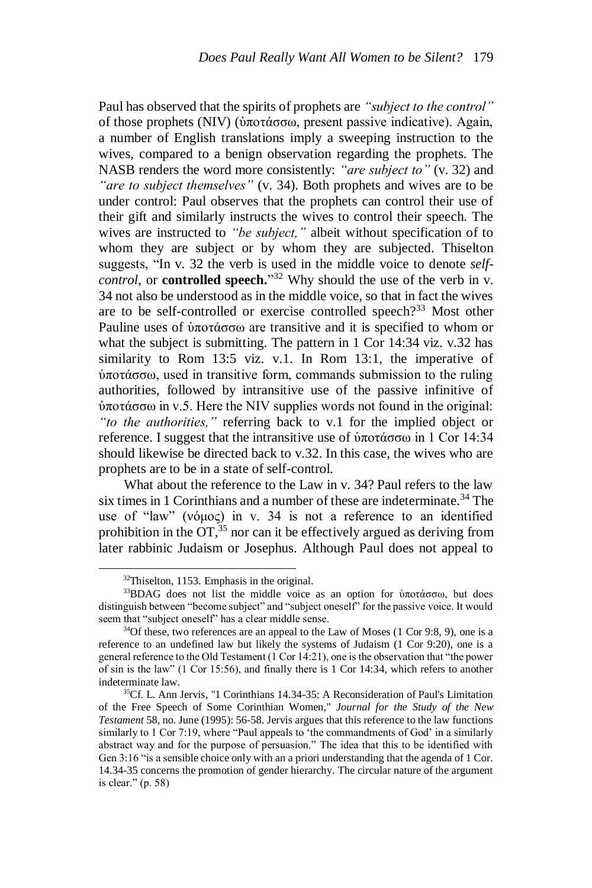Paul has observed that the spirits of prophets are *"subject to the control"* of those prophets (NIV) (ὑποτάσσω, present passive indicative). Again, a number of English translations imply a sweeping instruction to the wives, compared to a benign observation regarding the prophets. The NASB renders the word more consistently: *"are subject to"* (v. 32) and *"are to subject themselves"* (v. 34). Both prophets and wives are to be under control: Paul observes that the prophets can control their use of their gift and similarly instructs the wives to control their speech. The wives are instructed to *"be subject,"* albeit without specification of to whom they are subject or by whom they are subjected. Thiselton suggests, "In v. 32 the verb is used in the middle voice to denote *selfcontrol*, or **controlled speech.**" <sup>32</sup> Why should the use of the verb in v. 34 not also be understood as in the middle voice, so that in fact the wives are to be self-controlled or exercise controlled speech?<sup>33</sup> Most other Pauline uses of ὑποτάσσω are transitive and it is specified to whom or what the subject is submitting. The pattern in 1 Cor 14:34 viz. v.32 has similarity to Rom 13:5 viz. v.1. In Rom 13:1, the imperative of ὑποτάσσω, used in transitive form, commands submission to the ruling authorities, followed by intransitive use of the passive infinitive of ὑποτάσσω in v.5. Here the NIV supplies words not found in the original: *"to the authorities,"* referring back to v.1 for the implied object or reference. I suggest that the intransitive use of ὑποτάσσω in 1 Cor 14:34 should likewise be directed back to v.32. In this case, the wives who are prophets are to be in a state of self-control.

What about the reference to the Law in v. 34? Paul refers to the law six times in 1 Corinthians and a number of these are indeterminate.<sup>34</sup> The use of "law" (νόμος) in v. 34 is not a reference to an identified prohibition in the  $OT<sub>35</sub>$  nor can it be effectively argued as deriving from later rabbinic Judaism or Josephus. Although Paul does not appeal to

<sup>32</sup>Thiselton, 1153. Emphasis in the original.

<sup>33</sup>BDAG does not list the middle voice as an option for ὑποτάσσω, but does distinguish between "become subject" and "subject oneself" for the passive voice. It would seem that "subject oneself" has a clear middle sense.

 $34$ Of these, two references are an appeal to the Law of Moses (1 Cor 9:8, 9), one is a reference to an undefined law but likely the systems of Judaism (1 Cor 9:20), one is a general reference to the Old Testament (1 Cor 14:21), one is the observation that "the power of sin is the law" (1 Cor 15:56), and finally there is 1 Cor 14:34, which refers to another indeterminate law.

<sup>&</sup>lt;sup>35</sup>Cf. L. Ann Jervis, "1 Corinthians 14.34-35: A Reconsideration of Paul's Limitation of the Free Speech of Some Corinthian Women," *Journal for the Study of the New Testament* 58, no. June (1995): 56-58. Jervis argues that this reference to the law functions similarly to 1 Cor 7:19, where "Paul appeals to 'the commandments of God' in a similarly abstract way and for the purpose of persuasion." The idea that this to be identified with Gen 3:16 "is a sensible choice only with an a priori understanding that the agenda of 1 Cor. 14.34-35 concerns the promotion of gender hierarchy. The circular nature of the argument is clear." (p. 58)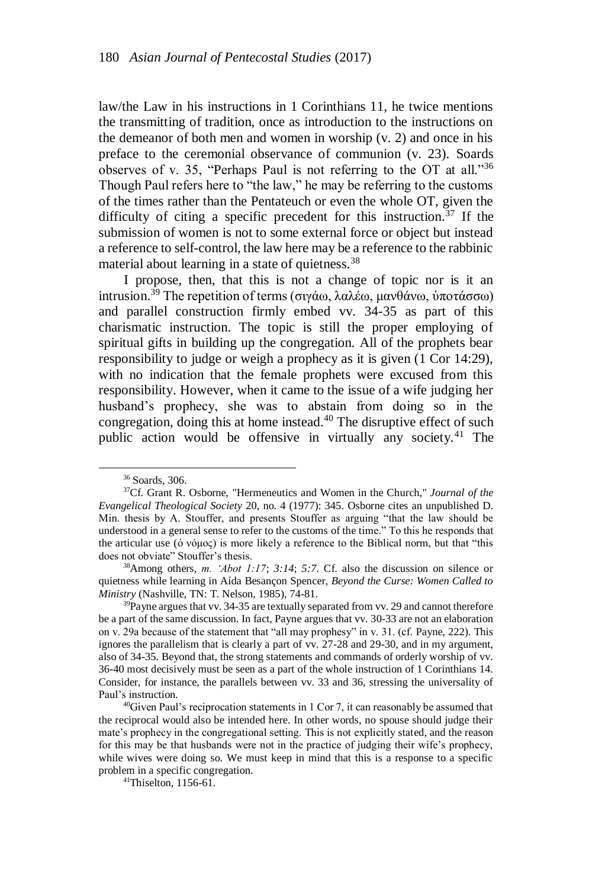law/the Law in his instructions in 1 Corinthians 11, he twice mentions the transmitting of tradition, once as introduction to the instructions on the demeanor of both men and women in worship (v. 2) and once in his preface to the ceremonial observance of communion (v. 23). Soards observes of v. 35, "Perhaps Paul is not referring to the OT at all."<sup>36</sup> Though Paul refers here to "the law," he may be referring to the customs of the times rather than the Pentateuch or even the whole OT, given the difficulty of citing a specific precedent for this instruction.<sup>37</sup> If the submission of women is not to some external force or object but instead a reference to self-control, the law here may be a reference to the rabbinic material about learning in a state of quietness.<sup>38</sup>

I propose, then, that this is not a change of topic nor is it an intrusion.<sup>39</sup> The repetition of terms (σιγάω, λαλέω, μανθάνω, ὑποτάσσω) and parallel construction firmly embed vv. 34-35 as part of this charismatic instruction. The topic is still the proper employing of spiritual gifts in building up the congregation. All of the prophets bear responsibility to judge or weigh a prophecy as it is given (1 Cor 14:29), with no indication that the female prophets were excused from this responsibility. However, when it came to the issue of a wife judging her husband's prophecy, she was to abstain from doing so in the congregation, doing this at home instead. $40$  The disruptive effect of such public action would be offensive in virtually any society.<sup>41</sup> The

<sup>36</sup> Soards, 306.

<sup>37</sup>Cf. Grant R. Osborne, "Hermeneutics and Women in the Church," *Journal of the Evangelical Theological Society* 20, no. 4 (1977): 345. Osborne cites an unpublished D. Min. thesis by A. Stouffer, and presents Stouffer as arguing "that the law should be understood in a general sense to refer to the customs of the time." To this he responds that the articular use (ὁ νόμος) is more likely a reference to the Biblical norm, but that "this does not obviate" Stouffer's thesis.

<sup>38</sup>Among others, *m. 'Abot 1:17*; *3:14*; *5:7*. Cf. also the discussion on silence or quietness while learning in Aída Besançon Spencer, *Beyond the Curse: Women Called to Ministry* (Nashville, TN: T. Nelson, 1985), 74-81.

<sup>&</sup>lt;sup>39</sup>Payne argues that vv. 34-35 are textually separated from vv. 29 and cannot therefore be a part of the same discussion. In fact, Payne argues that vv. 30-33 are not an elaboration on v. 29a because of the statement that "all may prophesy" in v. 31. (cf. Payne, 222). This ignores the parallelism that is clearly a part of vv. 27-28 and 29-30, and in my argument, also of 34-35. Beyond that, the strong statements and commands of orderly worship of vv. 36-40 most decisively must be seen as a part of the whole instruction of 1 Corinthians 14. Consider, for instance, the parallels between vv. 33 and 36, stressing the universality of Paul's instruction.

 $^{40}$ Given Paul's reciprocation statements in 1 Cor 7, it can reasonably be assumed that the reciprocal would also be intended here. In other words, no spouse should judge their mate's prophecy in the congregational setting. This is not explicitly stated, and the reason for this may be that husbands were not in the practice of judging their wife's prophecy, while wives were doing so. We must keep in mind that this is a response to a specific problem in a specific congregation.

<sup>41</sup>Thiselton, 1156-61.